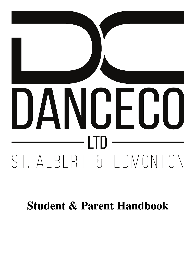# DANCECO ST. ALBERT & EDMONTON

**Student & Parent Handbook**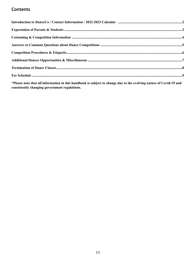# **Contents**

\*Please note that all information in this handbook is subject to change due to the evolving nature of Covid-19 and consistently changing government regulations.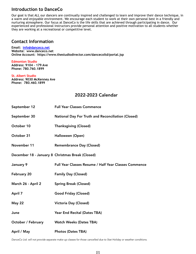# **Introduction to DanceCo**

Our goal is that ALL our dancers are continually inspired and challenged to learn and improve their dance technique, in a warm and enjoyable environment. We encourage each student to work at their own personal best in a friendly and nurturing atmosphere. Our focus at DanceCo is the life skills that are achieved through participating in dance. Our experienced and professional instructors provide personal attention and positive motivation to all students whether they are working at a recreational or competitive level.

### **Contact Information**

**Email: [info@danceco.net](mailto:info@danceco.net) Website: www.danceco.net Online Account: https://www.thestudiodirector.com/dancecoltd/portal.jsp**

**Edmonton Studio Address: 9104 – 179 Ave Phone: 780.760.1899**

**St. Albert Studio Address: 9030 McKenney Ave Phone: 780.460.1899**

## 2022-2023 Calendar

| September 12                                     | <b>Full Year Classes Commence</b>                         |
|--------------------------------------------------|-----------------------------------------------------------|
| September 30                                     | <b>National Day For Truth and Reconciliation (Closed)</b> |
| October 10                                       | <b>Thanksgiving (Closed)</b>                              |
| October 31                                       | Halloween (Open)                                          |
| November 11                                      | <b>Remembrance Day (Closed)</b>                           |
| December 18 - January 8 Christmas Break (Closed) |                                                           |
| January 9                                        | Full Year Classes Resume / Half Year Classes Commence     |
| February 20                                      | <b>Family Day (Closed)</b>                                |
| March 26 - April 2                               | <b>Spring Break (Closed)</b>                              |
| April 7                                          | <b>Good Friday (Closed)</b>                               |
| May 22                                           | <b>Victoria Day (Closed)</b>                              |
| June                                             | Year End Recital (Dates TBA)                              |
| <b>October / February</b>                        | <b>Watch Weeks (Dates TBA)</b>                            |
| April / May                                      | <b>Photos (Dates TBA)</b>                                 |

*DanceCo Ltd. will not provide separate make-up classes for those cancelled due to Stat Holiday or weather conditions.*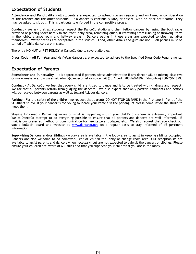# **Expectation of Students**

**Attendance and Punctuality** – All students are expected to attend classes regularly and on time, in consideration of the teacher and the other students. If a dancer is continually late, or absent, with no prior notification, they may be asked to sit out. This is particularly enforced in the competitive program.

**Conduct** – We ask that all students respect the DanceCo studio and their fellow dancers by; using the boot racks provided or placing shoes neatly in the front lobby area, remaining quiet, & refraining from running or throwing items in the lobby, change room and hallway areas. Dancers eating in these areas are expected to clean up after themselves. Water bottles are acceptable in the studios. Food, other drinks and gum are not. Cell phones must be turned off while dancers are in class.

There is a **NO NUT or PET POLICY** at DanceCo due to severe allergies.

**Dress Code** – **All Full-Year and Half-Year dancers** are expected to adhere to the Specified Dress Code Requirements.

## **Expectation of Parents**

**Attendance and Punctuality** – It is appreciated if parents advise administration if any dancer will be missing class two or more weeks in a row via email admin@danceco.net or voicemail (St. Albert) 780-460-1899 (Edmonton) 780-760-1899.

**Conduct –** At DanceCo we feel that every child is entitled to dance and is to be treated with kindness and respect. We ask that all parents refrain from judging the dancers. We also expect that only positive comments and actions will be relayed between parents as well as toward ALL our dancers.

**Parking** - For the safety of the children we request that parents DO NOT STOP OR PARK in the fire lane in front of the St. Albert studio. If your dancer is too young to locate your vehicle in the parking lot please come inside the studio to meet them.

**Staying Informed** – Remaining aware of what is happening within your child's program is extremely important. We at DanceCo attempt to do everything possible to ensure that all parents and dancers are well informed. Email is our preferred method of communication for newsletters, updates, etc. We also request that you check our studio bulletin board and website at [www.danceco.net](http://www.danceco.net/) on a regular basis to stay informed of all pertinent information.

**Supervising Dancers and/or Siblings –** A play area is available in the lobby area to assist in keeping siblings occupied. Dancers are also welcome to do homework, eat or visit in the lobby or change room area. Our receptionists are available to assist parents and dancers when necessary, but are not expected to babysit the dancers or siblings. Please ensure your children are aware of ALL rules and that you supervise your children if you are in the lobby.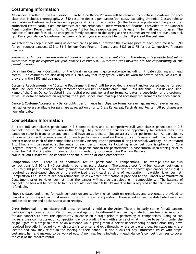# **Costuming Information**

All dancers enrolled in the Full Season & Jan to June Dance Program will be required to purchase a costume for each class that includes choreography. A \$50 costume deposit per dancer/per class, excluding Ukrainian Classes (please see Ukrainian Costume section below) is payable at time of registration (in the form of a post-dated cheque or preauthorized credit card). Costume Deposits are non-refundable unless written notification is provided to the DanceCo Administration Department prior to October 1st for full season classes or January 1st for half season classes. The balance of costume fees will be charged to family accounts in the spring as the costumes arrive and are due upon pick up. Once your dancer's costume has been ordered, you are responsible for the full price of the costume.

We attempt to keep our costuming as economical as possible, however the average price of each costume is \$70-\$90 for our younger dancers, \$95 to \$115 for our Core Program Dancers and \$125 to \$175 for our Competitive Program Dancers.

*Please note that costumes are ordered based on a general measurement chart. Therefore, it is possible that minor alterations may be required for your dancer's costume(s). Alteration fees incurred are the responsibility of the parent/guardian.*

**Ukrainian Costumes** – Costuming for the Ukrainian classes is quite elaborate including intricate stitching and head pieces. The costumes are also designed in such a way that they typically may be worn for several years. As a result, they are in the \$300 and up range.

**Costume Requirements** – A "Costume Requirement Sheet" will be provided via email and/or posted online for each class. Included in the costume requirements sheet will be; The Instructors Name, Class Discipline, Class Day and Time, Name of the Class Dance (as listed in the recital program), general performance dates, a description of the costume, as well as detailed information regarding the tights, shoes, hair, makeup and accessory requirements for each dancer.

**Dance & Costume Accessories -** Dance tights, performance hair clips, performance earrings, makeup, eyelashes and lash adhesive are available for purchase at reception prior to Dress Rehearsal, Festivals and Recital. All purchases are non-refundable.

## **Competition Information**

All core full year classes participate in 2-3 competitions and all competitive full year classes participate in 3-5 competitions in the Edmonton area in the Spring. They provide the dancers the opportunity to perform their class dance on stage in front of an audience, and have an adjudicator (judge) assess their performance. All participants of competitions will receive a medal for each performance based on the adjudicator's assessment. Each class will perform once at each of the competitions and may be required to perform during the school/workday. An estimated 2 to 3 hours will be required at the venue for each performance. Participating in competitions is optional for Core Program Dancers. If your child does not wish to participate in the performance, please inform us in writing prior to November 1st. Participating in competitions is mandatory for Competitive Program Dancers. **\*All in-studio classes will be cancelled for the duration of each competition.** 

**Competition Fees -** There is an additional fee to participate in competitions. The average cost for two competitions is \$120 to \$140 per student, per class (core classes). The average cost for 4 festivals/competitions is \$200 to \$300 per student, per class (competitive classes). A \$70 competition fee deposit (per dancer/per class) is required by post-dated cheque or pre-authorized credit card at time of registration – payable November 1st. Competition Fee Deposits are non-refundable unless written notification is provided to the DanceCo Administration Department prior to November 1st, that the dancer will not be participating in competitions. The balance of competition fees will be posted to family accounts December 10th. Payment in full is required at that time and is nonrefundable.

\*Specific dates and times for each competition are set by the competition organizers and are usually provided to DanceCo for posting within 3 to 4 weeks of the start of each competition. These schedules will be distributed via email and posted online and at the studio upon receipt.

**Dress Rehearsal –** a mandatory full dress rehearsal is held at the Arden Theatre in early spring for all dancers participating in competitions. Performing on a stage is quite different than dancing in-studio. We feel it is important for our dancer's to have the opportunity to dance on a stage prior to performing at competitions. Doing so can increase their comfort level on competition day by providing them with a sense of what it is like to perform under the bright lights of a stage in front of an audience while giving them a better understanding of instruction they have received in-studio in regard to which curtain's to enter and exit through, where centre and quarter stage marks are located and how they relate to the spacing of their dance. It also allows for any unforeseen issues with props, costumes, hair and makeup to be worked out. A nominal fee is included in each dancer's competition fees to cover the cost of the theatre rental.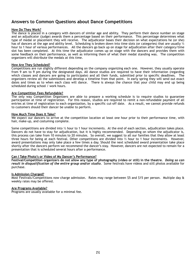## **Answers to Common Questions about Dance Competitions**

#### **How Do They Work?**

The dance is placed in a category with dancers of similar age and ability. They perform their dance number on stage and an adjudicator (judge) awards them a percentage based on their performance. This percentage determines what type of medal or placement they will receive. The adjudicator bases their decision on what expectations he (or she) has of dancers at the age and ability level. Scheduling is broken down into time slots (or categories) that are usually  $\mathcal{V}_2$ hour to 1 hour of various performances. All the dancers go back up on stage for adjudication after their category/time slot has been completed. At this time the adjudicator comes up on stage with the dancers and provides them with some feedback on their performance, as well as informing them of what their medal standing was. The competition organizers will distribute the medals at this time.

#### **How Are They Scheduled?**

Competitions are run slightly different depending on the company organizing each one. However, they usually operate from 9 am to 9 pm during the designated days. All dance studios are required to have their information (regarding which classes and dancers are going to participate) and all their funds, submitted prior to specific deadlines. The organizers review all the submissions and develop a timeline from that point. In early spring they will send out exact dates and times as to when each class will dance. There is always the chance that your child may end up being scheduled during school / work hours.

#### **Are Competition Fees Refundable?**

The only way Competition Organizers are able to prepare a working schedule is to require studios to guarantee participation at time of registration. For this reason, studios are required to remit a non-refundable payment of all entries at time of registration to each organization, by a specific cut-off date. As a result, we cannot provide refunds to customers should their dancer be unable to perform.

#### **How Much Time Does It Take?**

We expect our dancers to arrive at the competition location at least one hour prior to their performance time, with hair, make-up, and costuming complete.

Some competitions are divided into  $\frac{1}{2}$  hour to 1 hour increments. At the end of each section, adjudication takes place. Dancers do not have to stay for adjudication, but it is highly recommended. Depending on whom the adjudicator is, this process can take from 10 minutes to 20 minutes. So overall, we suggest to all our families that they allow at least three hours for being at each festival. Other competitions are divided into  $\frac{1}{2}$  hour to 1 hour increments. However, award presentations may only take place a few times a day. Should the next scheduled award presentation take place shortly after the dancers perform we recommend the dancer's stay. However, dancers are not expected to remain for a presentation that is scheduled several hours after a performance.

#### **Can I Take Photo's or Video of My Dancer's Performance?**

**Festival/Competition organizers do not allow any type of photography (video or still) in the theatre**. *Doing so can result in disqualification of the entire group and/or studio.* Some festivals have videos and still photos available for purchase.

#### **Is Admission Charged?**

Most Festivals/Competitions now charge admission. Rates may range between \$5 and \$15 per person. Multiple day & weekly rates may be offered.

#### **Are Programs Available?**

Programs are usually available for a minimal fee.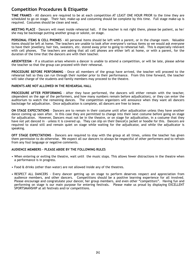# **Competition Procedures & Etiquette**

**TIME FRAMES** - All dancers are required to be at each competition AT LEAST ONE HOUR PRIOR to the time they are scheduled to go on stage. Their hair, make-up and costuming should be complete by this time. Full stage make-up is required. Costumes should be clean and neat.

**MEETING PLACE** - Dancers will meet inside rehearsal hall. If the teacher is not right there, please be patient, as he/ she may be backstage putting another group or soloist, on stage.

**PERSONAL ITEMS & CELL PHONES** - All personal items should be left with a parent, or in the change room. Valuable items should be left at home. The teachers are unable to look after everyone's various items so we would ask everyone to have their jewellery, hair ties, sweaters, etc. stored away prior to going to rehearsal hall. This is especially relevant with cell phones. The teachers are asking that all cell phones are either left at home, or with a parent, for the duration of the time that the dancers are with their teacher.

**ABSENTEEISM** - If a situation arises wherein a dancer is unable to attend a competition, or will be late, please advise the teacher so that the group can proceed with their rehearsal.

**PROCEDURE BEFORE PERFORMING** - Once all members of the group have arrived, the teacher will proceed to the rehearsal hall so they can run through their number prior to their performance. From this time forward, the teacher will take charge of the students and family members may proceed to the theatre.

#### **PARENTS ARE NOT ALLOWED IN THE REHEARSAL HALL**

**PROCEDURE AFTER PERFORMING** - After they have performed, the dancers will either remain with the teacher, (dependent on the age of the performers, and how many numbers remain before adjudication), or they can enter the auditorium to watch the remaining dances. The competition organizers will announce when they want all dancers backstage for adjudication. Once adjudication is complete, all dancers are free to leave.

**ON STAGE EXPECTATIONS** – Dancers are to remain in their costume until after adjudication unless they have another dance coming up soon after. In this case they are permitted to change into their next costume before going on stage for adjudication. However, Dancers must not be in the theatre, or on stage for adjudication, in a costume that they have not yet danced in - unless it is covered up. They can slip on their DanceCo jacket or hoodie for this. Dancers are required to stand still and remain quiet on stage while waiting for the adjudicator, and while the adjudicator is speaking.

**OFF STAGE EXPECTATIONS** – Dancers are required to stay with the group at all times, unless the teacher has given them permission to do otherwise. We expect all our dancers to always be respectful of other performers and to refrain from any foul language or negative comments.

#### **AUDIENCE MEMBERS – PLEASE ABIDE BY THE FOLLOWING RULES**

- When entering or exiting the theatre, wait until the music stops. This allows fewer distractions in the theatre when a performance is in progress.
- Food & drinks (other than water) are not allowed inside any of the theatres.
- RESPECT ALL DANCERS Every dancer getting up on stage to perform deserves respect and appreciation from audience members, and other dancers. Competitions should be a positive learning experience for all involved. Please encourage and congratulate your dancer, her group members, and even other "competitors". Having fun and performing on stage is our main purpose for entering festivals. Please make us proud by displaying EXCELLENT SPORTSMANSHIP at all festivals and/or competitions.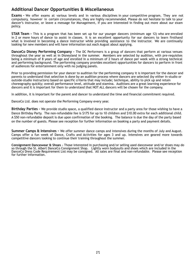# **Additional Dancer Opportunities & Miscellaneous**

**Exams -** We offer exams at various levels and in various disciplines in your competitive program. They are not compulsory, however in certain circumstances, they are highly recommended. Please do not hesitate to talk to your dancer's instructor, or leave a message for Management, if you are interested in finding out more about our exam policy.

**STAR Team -** This is a program that has been set up for our younger dancers (minimum age 12) who are enrolled in 2 or more hours of dance to assist in classes. It is an excellent opportunity for our dancers to learn firsthand what is involved in becoming a dance instructor while providing assistance to the instructor. We are continually looking for new members and will have information out each August about applying.

**DanceCo Disney Performing Company -** The DC Performers is a group of dancers that perform at various venues throughout the year as well at in Disneyland in the summer. Members are selected by audition, with pre-requisites being a minimum of 8 years of age and enrolled in a minimum of 2 hours of dance per week with a strong technical and performing background. The performing company provides excellent opportunities for dancers to perform in front of audiences for entertainment only with no judging panels.

Prior to providing permission for your dancer to audition for the performing company it is important for the dancer and parents to understand that selection is done by an audition process where dancers are selected (by either in-studio or outside-studio instructors) based on specific criteria that may include; technique, ability to pick up and retain choreography quickly; overall performance level, attitude and stamina. Auditions are a great learning experience for dancers and it is important for them to understand that NOT ALL dancers will be chosen for the company.

In addition, it is important for the parent and dancer to understand the time and financial commitment required.

DanceCo Ltd. does not operate the Performing Company every year.

**Birthday Parties -** We provide studio space, a qualified dance instructor and a party area for those wishing to have a Dance Birthday Party. The non-refundable fee is \$175 for up to 10 children and \$10.00 extra for each additional child. A \$50 non-refundable deposit is due upon confirmation of the booking. The balance is due the day of the party based on the number of guests. Please see reception for further information on booking a party and payment details.

**Summer Camps & Intensives -** We offer summer dance camps and intensives during the months of July and August. Camps offer a fun week of Dance, Crafts and Activities for ages 3 and up. Intensives are geared more towards competitive dancers looking to continue their training throughout the summer.

**Consignment Dancewear & Shoes -** Those interested in purchasing and/or selling used dancewear and/or shoes may do so through the St. Albert DanceCo Consignment Shop. Lightly worn bodysuits and shoes which are included in the DanceCo Dress Code Requirement List may be consigned. All sales are final and non-refundable. Please see reception for further information.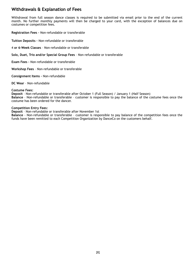# **Withdrawals & Explanation of Fees**

Withdrawal from full season dance classes is required to be submitted via email prior to the end of the current month. No further monthly payments will then be charged to your card, with the exception of balances due on costumes or competition fees.

**Registration Fees –** Non-refundable or transferable

**Tuition Deposits –** Non-refundable or transferable

4 **or 6-Week Classes** – Non-refundable or transferable

**Solo, Duet, Trio and/or Special Group Fees** – Non-refundable or transferable

**Exam Fees –** Non-refundable or transferable

**Workshop Fees** – Non-refundable or transferable

**Consignment Items –** Non-refundable

**DC Wear** – Non-refundable

#### **Costume Fees:**

**Deposit** – Non-refundable or transferable after October 1 (Full Season) / January 1 (Half Season) **Balance** – Non-refundable or transferable – customer is responsible to pay the balance of the costume fees once the costume has been ordered for the dancer.

#### **Competition Entry Fees:**

**Deposit** – Non-refundable or transferable after November 1st

**Balance** - Non-refundable or transferable – customer is responsible to pay balance of the competition fees once the funds have been remitted to each Competition Organization by DanceCo on the customers behalf.